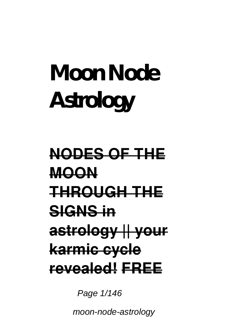# **Moon Node Astrology**

## **NODES OF THE MOON THROUGH THE SIGNS in astrology || your karmic cycle revealed! FREE**

Page  $1/146$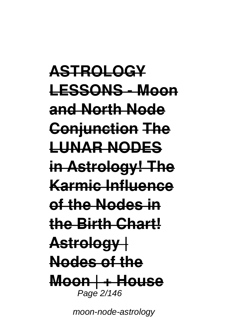**ASTROLOGY LESSONS - Moon and North Node Conjunction The LUNAR NODES in Astrology! The Karmic Influence of the Nodes in the Birth Chart! Astrology | Nodes of the Moon | + House** Page 2/146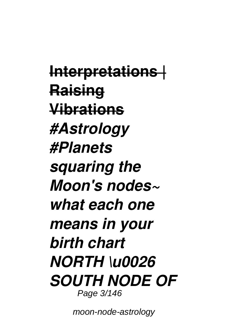**Interpretations | Raising Vibrations** *#Astrology #Planets squaring the Moon's nodes~ what each one means in your birth chart NORTH \u0026 SOUTH NODE OF* Page 3/146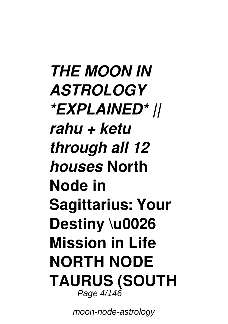*THE MOON IN ASTROLOGY \*EXPLAINED\* || rahu + ketu through all 12 houses* **North Node in Sagittarius: Your Destiny \u0026 Mission in Life NORTH NODE TAURUS (SOUTH** Page 4/146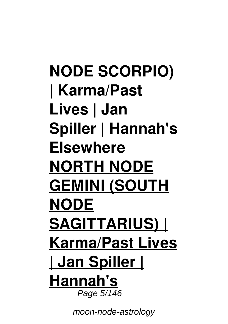**NODE SCORPIO) | Karma/Past Lives | Jan Spiller | Hannah's Elsewhere NORTH NODE GEMINI (SOUTH NODE SAGITTARIUS) | Karma/Past Lives | Jan Spiller | Hannah's** Page  $5/146$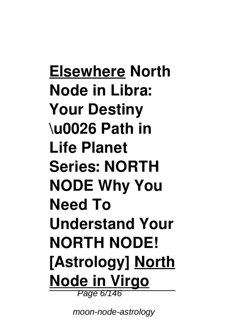**Elsewhere North Node in Libra: Your Destiny \u0026 Path in Life Planet Series: NORTH NODE Why You Need To Understand Your NORTH NODE! [Astrology] North Node in Virgo** Page 6/146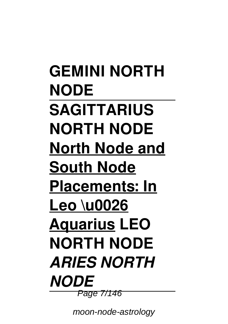**GEMINI NORTH NODE SAGITTARIUS NORTH NODE North Node and South Node Placements: In Leo \u0026 Aquarius LEO NORTH NODE**  *ARIES NORTH NODE* Page 7/146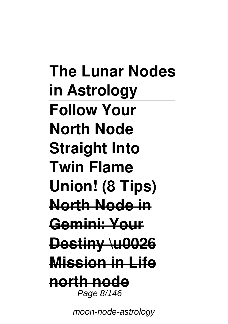**The Lunar Nodes in Astrology Follow Your North Node Straight Into Twin Flame Union! (8 Tips) North Node in Gemini: Your Destiny \u0026 Mission in Life north node** Page 8/146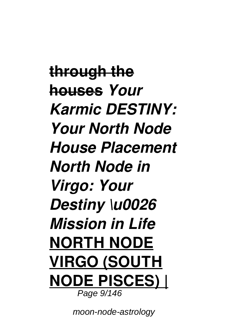**through the houses** *Your Karmic DESTINY: Your North Node House Placement North Node in Virgo: Your Destiny \u0026 Mission in Life* **NORTH NODE VIRGO (SOUTH NODE PISCES) |** Page 9/146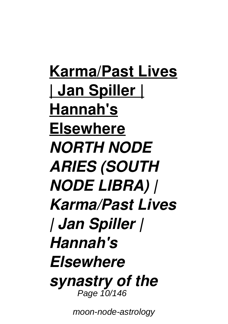**Karma/Past Lives | Jan Spiller | Hannah's Elsewhere** *NORTH NODE ARIES (SOUTH NODE LIBRA) | Karma/Past Lives | Jan Spiller | Hannah's Elsewhere synastry of the* Page 10/146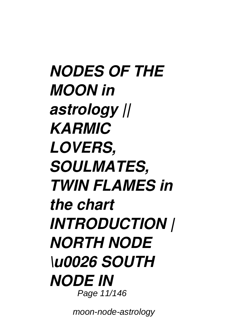*NODES OF THE MOON in astrology || KARMIC LOVERS, SOULMATES, TWIN FLAMES in the chart INTRODUCTION | NORTH NODE \u0026 SOUTH NODE IN* Page 11/146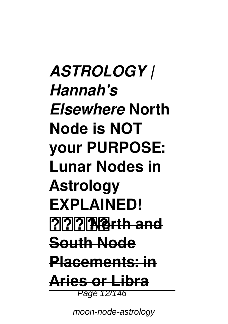*ASTROLOGY | Hannah's Elsewhere* **North Node is NOT your PURPOSE: Lunar Nodes in Astrology EXPLAINED! ️North and South Node Placements: in Aries or Libra** Page 12/146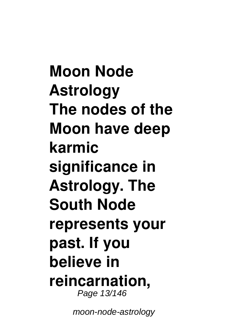**Moon Node Astrology The nodes of the Moon have deep karmic significance in Astrology. The South Node represents your past. If you believe in reincarnation,** Page 13/146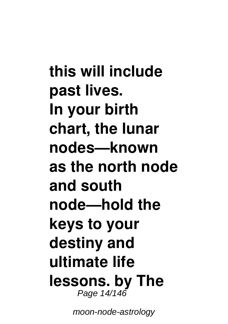**this will include past lives. In your birth chart, the lunar nodes—known as the north node and south node—hold the keys to your destiny and ultimate life lessons. by The** Page 14/146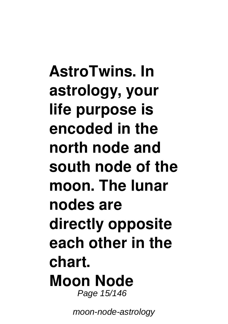**AstroTwins. In astrology, your life purpose is encoded in the north node and south node of the moon. The lunar nodes are directly opposite each other in the chart. Moon Node** Page 15/146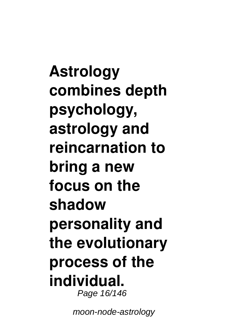**Astrology combines depth psychology, astrology and reincarnation to bring a new focus on the shadow personality and the evolutionary process of the individual.** Page 16/146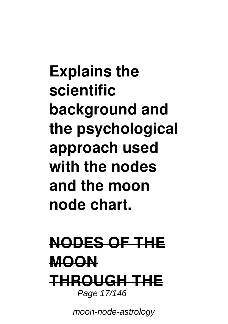**Explains the scientific background and the psychological approach used with the nodes and the moon node chart.**

### **NODES OF THE MOON THROUGH THE** Page 17/146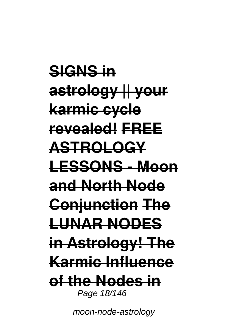**SIGNS in astrology || your karmic cycle revealed! FREE ASTROLOGY LESSONS - Moon and North Node Conjunction The LUNAR NODES in Astrology! The Karmic Influence of the Nodes in** Page 18/146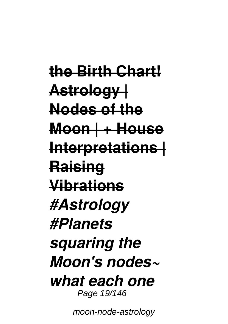**the Birth Chart! Astrology | Nodes of the Moon | + House Interpretations | Raising Vibrations** *#Astrology #Planets squaring the Moon's nodes~ what each one* Page 19/146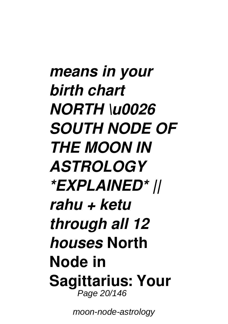*means in your birth chart NORTH \u0026 SOUTH NODE OF THE MOON IN ASTROLOGY \*EXPLAINED\* || rahu + ketu through all 12 houses* **North Node in Sagittarius: Your** Page 20/146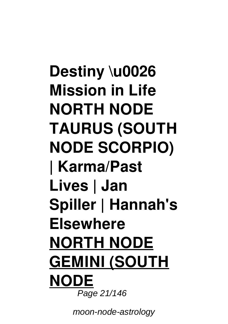## **Destiny \u0026 Mission in Life NORTH NODE TAURUS (SOUTH NODE SCORPIO) | Karma/Past Lives | Jan Spiller | Hannah's Elsewhere NORTH NODE GEMINI (SOUTH NODE** Page 21/146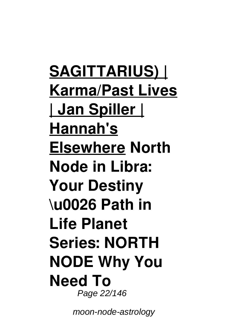**SAGITTARIUS) | Karma/Past Lives | Jan Spiller | Hannah's Elsewhere North Node in Libra: Your Destiny \u0026 Path in Life Planet Series: NORTH NODE Why You Need To** Page 22/146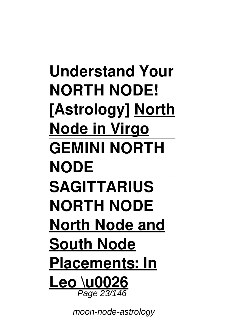**Understand Your NORTH NODE! [Astrology] North Node in Virgo GEMINI NORTH NODE SAGITTARIUS NORTH NODE North Node and South Node Placements: In Leo \u0026** Page 23/146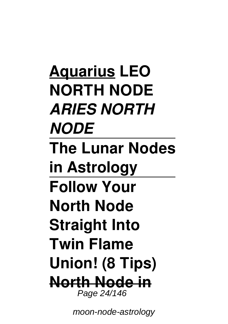**Aquarius LEO NORTH NODE**  *ARIES NORTH NODE* **The Lunar Nodes in Astrology Follow Your North Node Straight Into Twin Flame Union! (8 Tips) North Node in** Page 24/146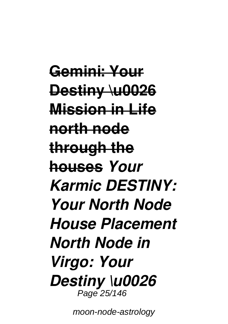**Gemini: Your Destiny \u0026 Mission in Life north node through the houses** *Your Karmic DESTINY: Your North Node House Placement North Node in Virgo: Your Destiny \u0026* Page 25/146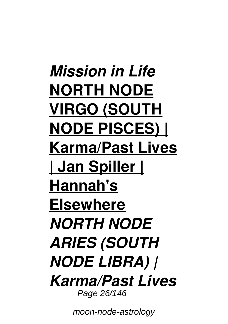*Mission in Life* **NORTH NODE VIRGO (SOUTH NODE PISCES) | Karma/Past Lives | Jan Spiller | Hannah's Elsewhere** *NORTH NODE ARIES (SOUTH NODE LIBRA) | Karma/Past Lives* Page 26/146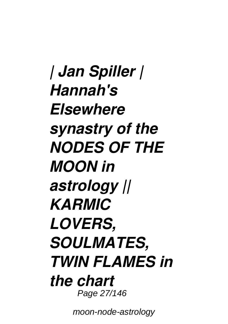*| Jan Spiller | Hannah's Elsewhere synastry of the NODES OF THE MOON in astrology || KARMIC LOVERS, SOULMATES, TWIN FLAMES in the chart* Page 27/146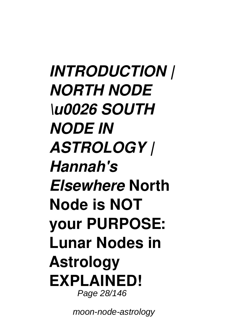*INTRODUCTION | NORTH NODE \u0026 SOUTH NODE IN ASTROLOGY | Hannah's Elsewhere* **North Node is NOT your PURPOSE: Lunar Nodes in Astrology EXPLAINED!** Page 28/146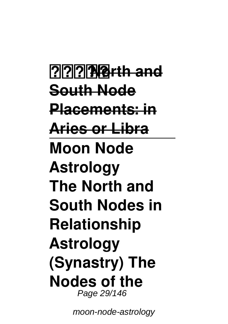**️North and South Node Placements: in Aries or Libra Moon Node Astrology The North and South Nodes in Relationship Astrology (Synastry) The Nodes of the** Page 29/146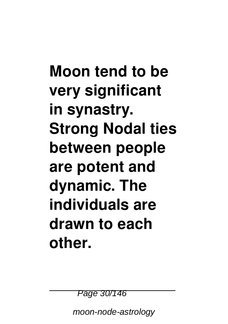**Moon tend to be very significant in synastry. Strong Nodal ties between people are potent and dynamic. The individuals are drawn to each other.**

Page 30/146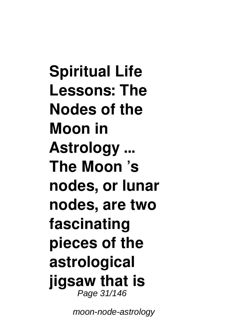**Spiritual Life Lessons: The Nodes of the Moon in Astrology ... The Moon 's nodes, or lunar nodes, are two fascinating pieces of the astrological jigsaw that is** Page 31/146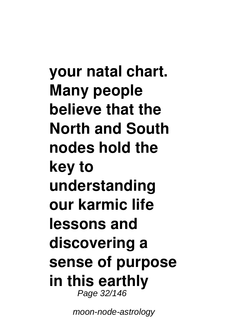**your natal chart. Many people believe that the North and South nodes hold the key to understanding our karmic life lessons and discovering a sense of purpose in this earthly** Page 32/146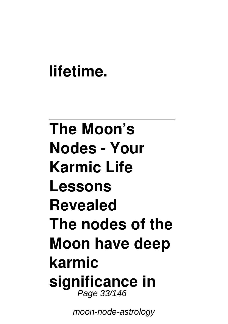### **lifetime.**

## **The Moon's Nodes - Your Karmic Life Lessons Revealed The nodes of the Moon have deep karmic significance in** Page 33/146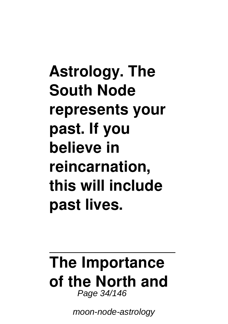## **Astrology. The South Node represents your past. If you believe in reincarnation, this will include past lives.**

#### **The Importance of the North and** Page 34/146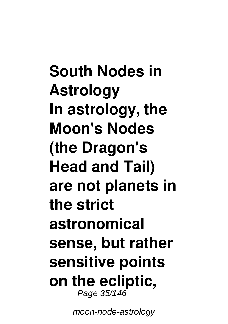**South Nodes in Astrology In astrology, the Moon's Nodes (the Dragon's Head and Tail) are not planets in the strict astronomical sense, but rather sensitive points on the ecliptic,** Page 35/146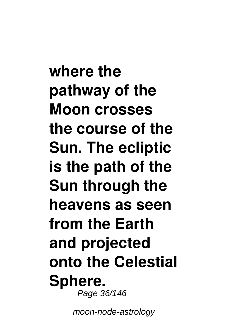**where the pathway of the Moon crosses the course of the Sun. The ecliptic is the path of the Sun through the heavens as seen from the Earth and projected onto the Celestial Sphere.** Page 36/146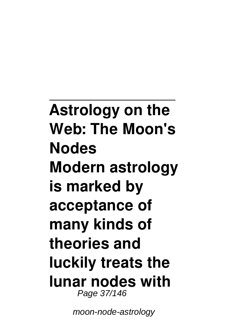**Astrology on the Web: The Moon's Nodes Modern astrology is marked by acceptance of many kinds of theories and luckily treats the lunar nodes with** Page 37/146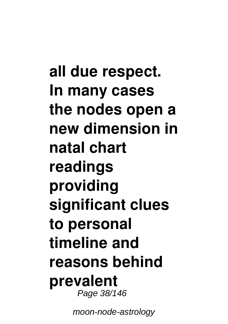**all due respect. In many cases the nodes open a new dimension in natal chart readings providing significant clues to personal timeline and reasons behind prevalent** Page 38/146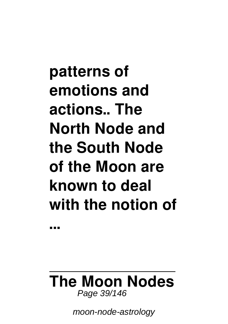**patterns of emotions and actions.. The North Node and the South Node of the Moon are known to deal with the notion of**

#### **The Moon Nodes** Page 39/146

**...**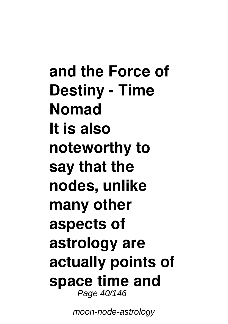**and the Force of Destiny - Time Nomad It is also noteworthy to say that the nodes, unlike many other aspects of astrology are actually points of space time and** Page 40/146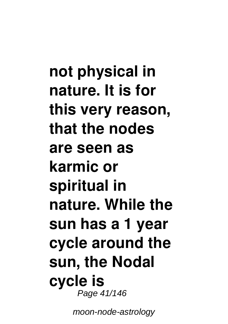**not physical in nature. It is for this very reason, that the nodes are seen as karmic or spiritual in nature. While the sun has a 1 year cycle around the sun, the Nodal cycle is** Page 41/146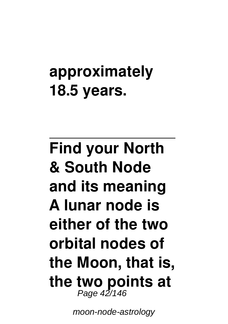## **approximately 18.5 years.**

## **Find your North & South Node and its meaning A lunar node is either of the two orbital nodes of the Moon, that is, the two points at** Page 42/146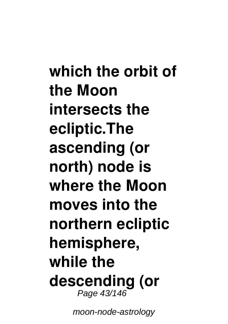**which the orbit of the Moon intersects the ecliptic.The ascending (or north) node is where the Moon moves into the northern ecliptic hemisphere, while the descending (or** Page 43/146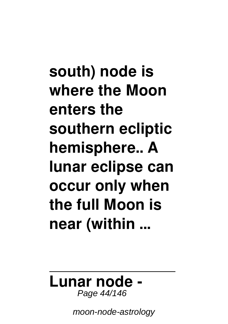**south) node is where the Moon enters the southern ecliptic hemisphere.. A lunar eclipse can occur only when the full Moon is near (within ...**

#### **Lunar node -** Page 44/146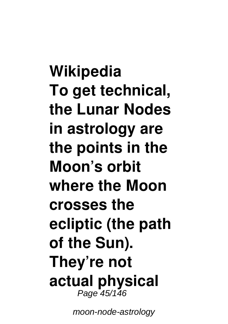**Wikipedia To get technical, the Lunar Nodes in astrology are the points in the Moon's orbit where the Moon crosses the ecliptic (the path of the Sun). They're not actual physical** Page 45/146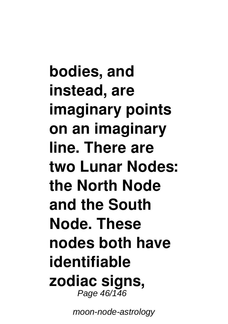**bodies, and instead, are imaginary points on an imaginary line. There are two Lunar Nodes: the North Node and the South Node. These nodes both have identifiable zodiac signs,** Page 46/146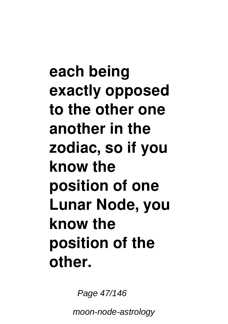**each being exactly opposed to the other one another in the zodiac, so if you know the position of one Lunar Node, you know the position of the other.**

Page 47/146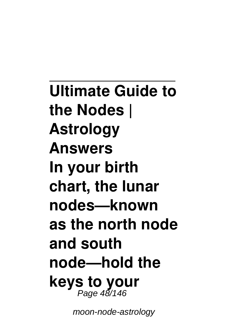**Ultimate Guide to the Nodes | Astrology Answers In your birth chart, the lunar nodes—known as the north node and south node—hold the keys to your** Page 48/146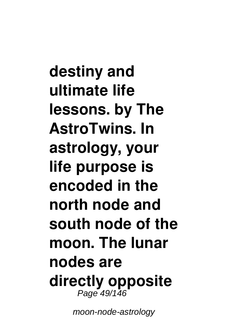**destiny and ultimate life lessons. by The AstroTwins. In astrology, your life purpose is encoded in the north node and south node of the moon. The lunar nodes are directly opposite** Page 49/146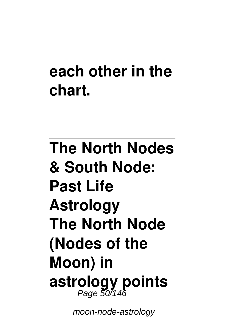## **each other in the chart.**

# **The North Nodes & South Node: Past Life Astrology The North Node (Nodes of the Moon) in astrology points** Page 50/146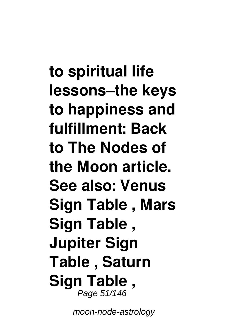**to spiritual life lessons–the keys to happiness and fulfillment: Back to The Nodes of the Moon article. See also: Venus Sign Table , Mars Sign Table , Jupiter Sign Table , Saturn Sign Table ,** Page 51/146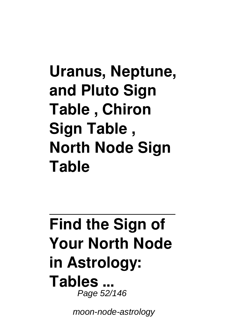## **Uranus, Neptune, and Pluto Sign Table , Chiron Sign Table , North Node Sign Table**

### **Find the Sign of Your North Node in Astrology: Tables ...** Page 52/146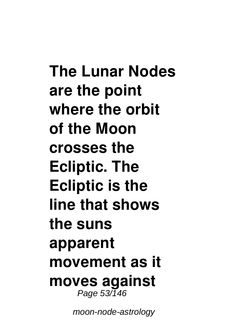**The Lunar Nodes are the point where the orbit of the Moon crosses the Ecliptic. The Ecliptic is the line that shows the suns apparent movement as it moves against** Page 53/146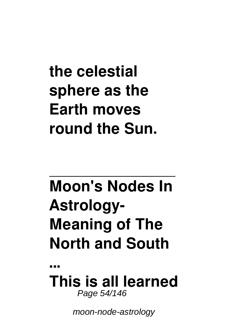## **the celestial sphere as the Earth moves round the Sun.**

# **Moon's Nodes In Astrology-Meaning of The North and South**

**... This is all learned** Page 54/146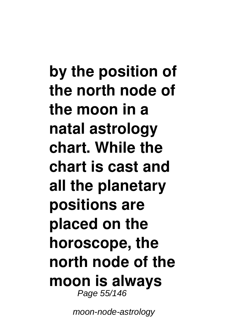**by the position of the north node of the moon in a natal astrology chart. While the chart is cast and all the planetary positions are placed on the horoscope, the north node of the moon is always** Page 55/146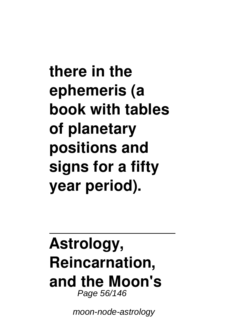**there in the ephemeris (a book with tables of planetary positions and signs for a fifty year period).**

### **Astrology, Reincarnation, and the Moon's** Page 56/146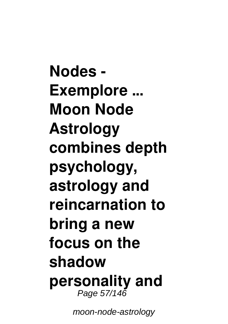**Nodes - Exemplore ... Moon Node Astrology combines depth psychology, astrology and reincarnation to bring a new focus on the shadow personality and** Page 57/146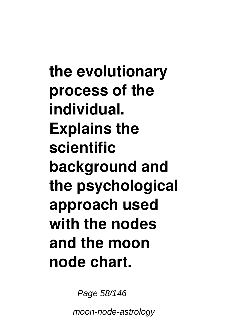**the evolutionary process of the individual. Explains the scientific background and the psychological approach used with the nodes and the moon node chart.**

Page 58/146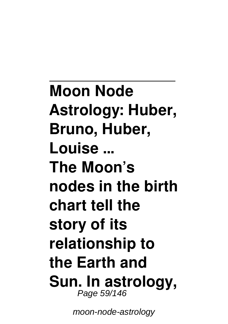**Moon Node Astrology: Huber, Bruno, Huber, Louise ... The Moon's nodes in the birth chart tell the story of its relationship to the Earth and Sun. In astrology,** Page 59/146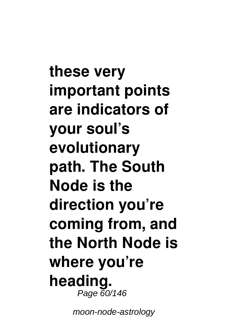**these very important points are indicators of your soul's evolutionary path. The South Node is the direction you're coming from, and the North Node is where you're heading.** Page 60/146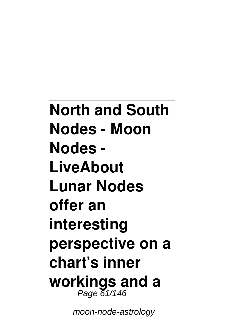**North and South Nodes - Moon Nodes - LiveAbout Lunar Nodes offer an interesting perspective on a chart's inner workings and a** Page 61/146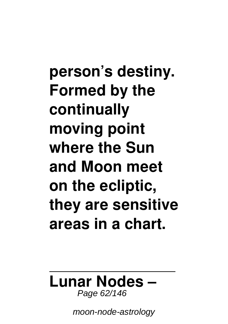**person's destiny. Formed by the continually moving point where the Sun and Moon meet on the ecliptic, they are sensitive areas in a chart.**

#### **Lunar Nodes –** Page 62/146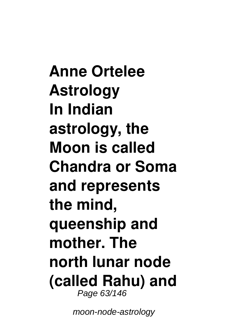**Anne Ortelee Astrology In Indian astrology, the Moon is called Chandra or Soma and represents the mind, queenship and mother. The north lunar node (called Rahu) and** Page 63/146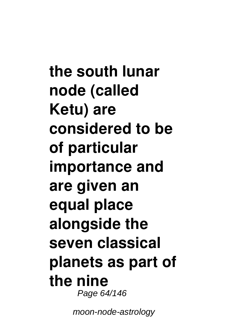**the south lunar node (called Ketu) are considered to be of particular importance and are given an equal place alongside the seven classical planets as part of the nine** Page 64/146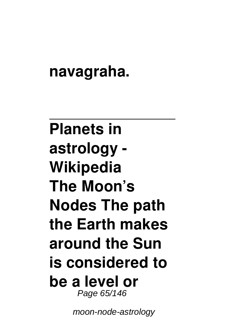## **navagraha.**

## **Planets in astrology - Wikipedia The Moon's Nodes The path the Earth makes around the Sun is considered to be a level or** Page 65/146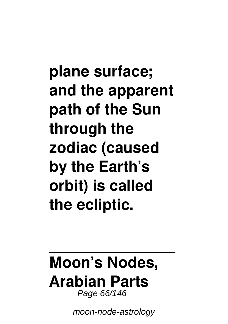**plane surface; and the apparent path of the Sun through the zodiac (caused by the Earth's orbit) is called the ecliptic.**

#### **Moon's Nodes, Arabian Parts** Page 66/146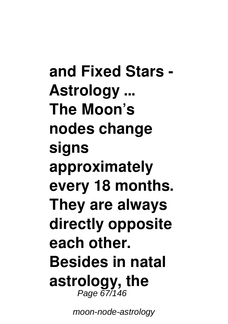**and Fixed Stars - Astrology ... The Moon's nodes change signs approximately every 18 months. They are always directly opposite each other. Besides in natal astrology, the** Page 67/146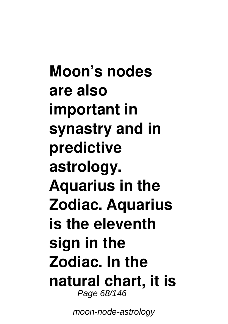**Moon's nodes are also important in synastry and in predictive astrology. Aquarius in the Zodiac. Aquarius is the eleventh sign in the Zodiac. In the natural chart, it is** Page 68/146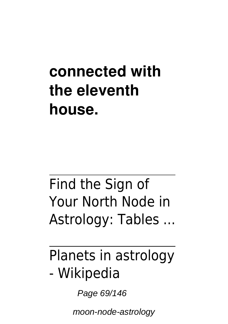## **connected with the eleventh house.**

## Find the Sign of Your North Node in Astrology: Tables ...

## Planets in astrology - Wikipedia

Page 69/146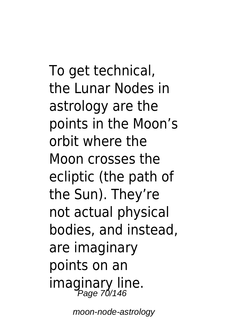To get technical. the Lunar Nodes in astrology are the points in the Moon's orbit where the Moon crosses the ecliptic (the path of the Sun). They're not actual physical bodies, and instead, are imaginary points on an imaginary line. Page 70/146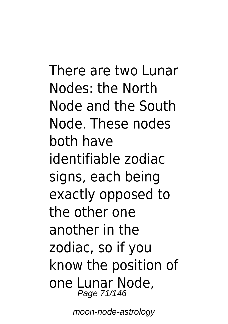There are two Lunar Nodes: the North Node and the South Node. These nodes both have identifiable zodiac signs, each being exactly opposed to the other one another in the zodiac, so if you know the position of one Lunar Node, Page 71/146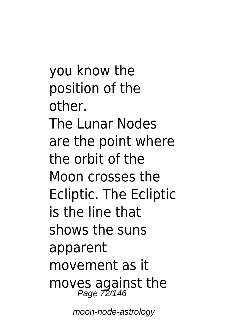you know the position of the other. The Lunar Nodes are the point where the orbit of the Moon crosses the Ecliptic. The Ecliptic is the line that shows the suns apparent movement as it moves against the Page 72/146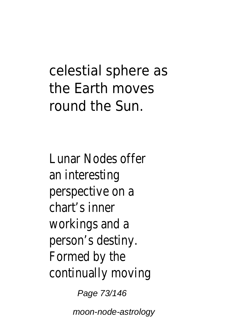# celestial sphere as the Earth moves round the Sun.

Lunar Nodes offer an interesting perspective on a chart's inner workings and a person's destiny. Formed by the continually moving

Page 73/146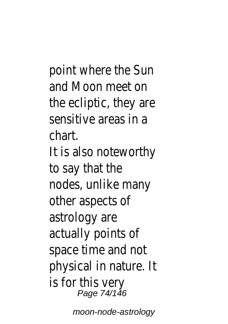point where the Sun and Moon meet on the ecliptic, they are sensitive areas in a chart. It is also noteworthy to say that the nodes, unlike many other aspects of astrology are actually points of space time and not physical in nature. It is for this very Page 74/146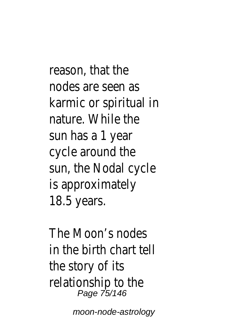reason, that the nodes are seen as karmic or spiritual in nature. While the sun has a 1 year cycle around the sun, the Nodal cycle is approximately 18.5 years.

The Moon's nodes in the birth chart tell the story of its relationship to the Page 75/146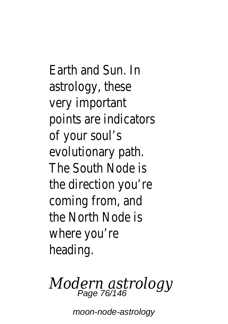Earth and Sun. In astrology, these very important points are indicators of your soul's evolutionary path. The South Node is the direction you're coming from, and the North Node is where you're heading.

# *Modern astrology* Page 76/146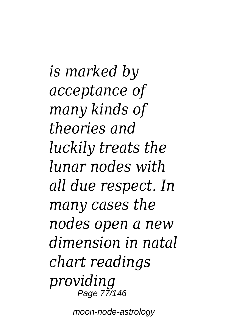*is marked by acceptance of many kinds of theories and luckily treats the lunar nodes with all due respect. In many cases the nodes open a new dimension in natal chart readings providing* Page 77/146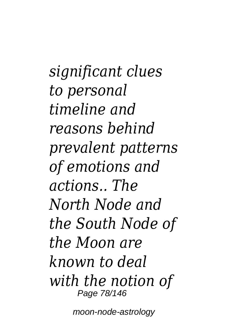*significant clues to personal timeline and reasons behind prevalent patterns of emotions and actions.. The North Node and the South Node of the Moon are known to deal with the notion of* Page 78/146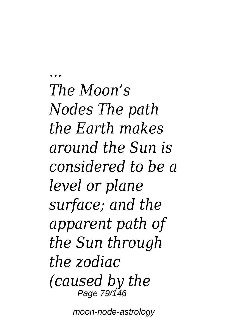*... The Moon's Nodes The path the Earth makes around the Sun is considered to be a level or plane surface; and the apparent path of the Sun through the zodiac (caused by the* Page 79/146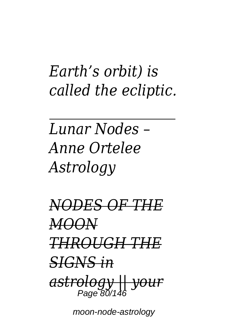# *Earth's orbit) is called the ecliptic.*

*Lunar Nodes – Anne Ortelee Astrology*

*NODES OF THE MOON THROUGH THE SIGNS in astrology || your* Page 80/14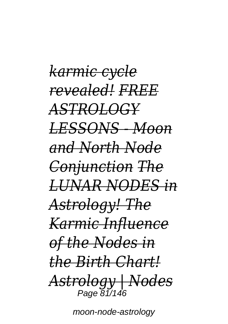*karmic cycle revealed! FREE ASTROLOGY LESSONS - Moon and North Node Conjunction The LUNAR NODES in Astrology! The Karmic Influence of the Nodes in the Birth Chart! Astrology | Nodes* Page 81/146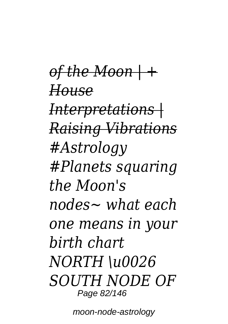*of the Moon | + House Interpretations | Raising Vibrations #Astrology #Planets squaring the Moon's nodes~ what each one means in your birth chart NORTH \u0026 SOUTH NODE OF* Page 82/146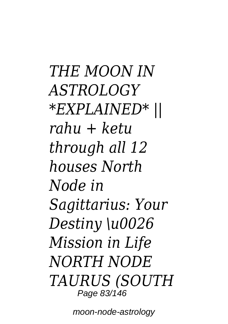*THE MOON IN ASTROLOGY \*EXPLAINED\* || rahu + ketu through all 12 houses North Node in Sagittarius: Your Destiny \u0026 Mission in Life NORTH NODE TAURUS (SOUTH* Page 83/146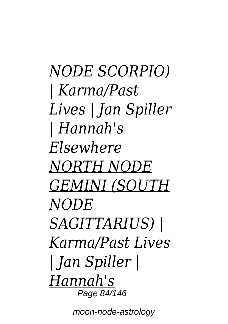*NODE SCORPIO) | Karma/Past Lives | Jan Spiller | Hannah's Elsewhere NORTH NODE GEMINI (SOUTH NODE SAGITTARIUS) | Karma/Past Lives | Jan Spiller | Hannah's* Page 84/146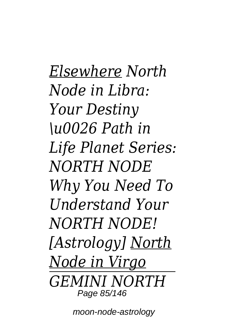*Elsewhere North Node in Libra: Your Destiny \u0026 Path in Life Planet Series: NORTH NODE Why You Need To Understand Your NORTH NODE! [Astrology] North Node in Virgo GEMINI NORTH* Page 85/146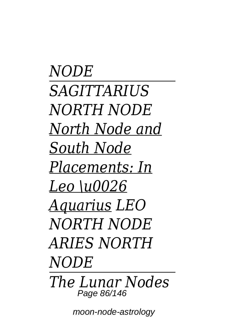*NODE SAGITTARIUS NORTH NODE North Node and South Node Placements: In Leo \u0026 Aquarius LEO NORTH NODE ARIES NORTH NODE The Lunar Nodes* Page 86/146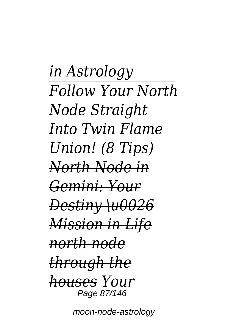*in Astrology Follow Your North Node Straight Into Twin Flame Union! (8 Tips) North Node in Gemini: Your Destiny \u0026 Mission in Life north node through the houses Your* Page 87/146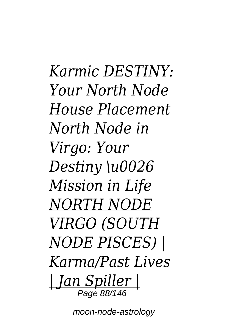*Karmic DESTINY: Your North Node House Placement North Node in Virgo: Your Destiny \u0026 Mission in Life NORTH NODE VIRGO (SOUTH NODE PISCES) | Karma/Past Lives | Jan Spiller |* Page 88/14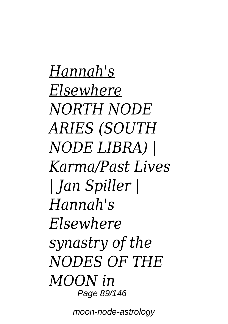*Hannah's Elsewhere NORTH NODE ARIES (SOUTH NODE LIBRA) | Karma/Past Lives | Jan Spiller | Hannah's Elsewhere synastry of the NODES OF THE MOON in* Page 89/146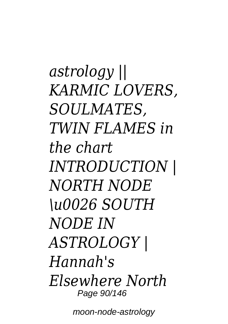*astrology || KARMIC LOVERS, SOULMATES, TWIN FLAMES in the chart INTRODUCTION | NORTH NODE \u0026 SOUTH NODE IN ASTROLOGY | Hannah's Elsewhere North* Page 90/146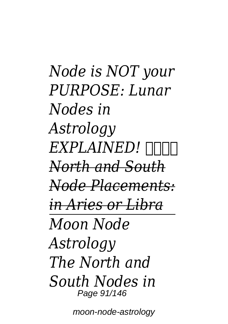*Node is NOT your PURPOSE: Lunar Nodes in Astrology EXPLAINED! ️ North and South Node Placements: in Aries or Libra Moon Node Astrology The North and South Nodes in* Page 91/146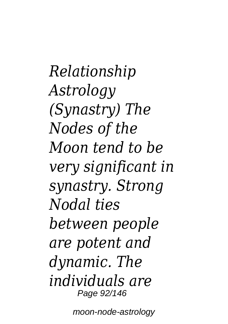*Relationship Astrology (Synastry) The Nodes of the Moon tend to be very significant in synastry. Strong Nodal ties between people are potent and dynamic. The individuals are* Page 92/146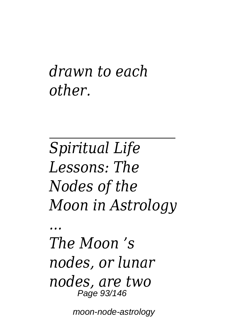### *drawn to each other.*

*Spiritual Life Lessons: The Nodes of the Moon in Astrology*

*The Moon 's nodes, or lunar nodes, are two* Page 93/146

*...*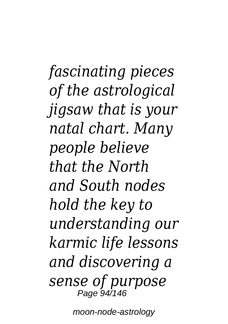*fascinating pieces of the astrological jigsaw that is your natal chart. Many people believe that the North and South nodes hold the key to understanding our karmic life lessons and discovering a sense of purpose* Page 94/146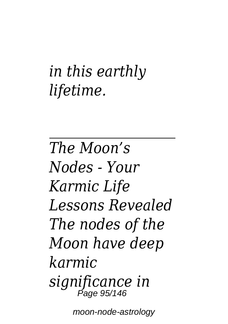# *in this earthly lifetime.*

*The Moon's Nodes - Your Karmic Life Lessons Revealed The nodes of the Moon have deep karmic significance in* Page 95/146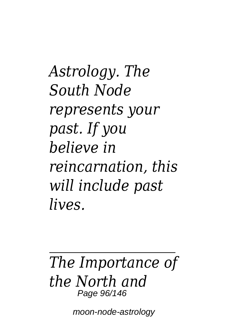*Astrology. The South Node represents your past. If you believe in reincarnation, this will include past lives.*

#### *The Importance of the North and* Page 96/146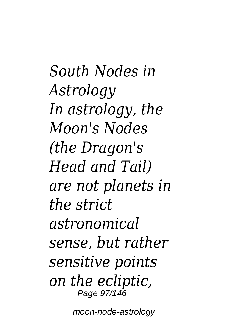*South Nodes in Astrology In astrology, the Moon's Nodes (the Dragon's Head and Tail) are not planets in the strict astronomical sense, but rather sensitive points on the ecliptic,* Page 97/146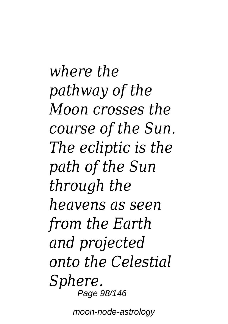*where the pathway of the Moon crosses the course of the Sun. The ecliptic is the path of the Sun through the heavens as seen from the Earth and projected onto the Celestial Sphere.* Page 98/146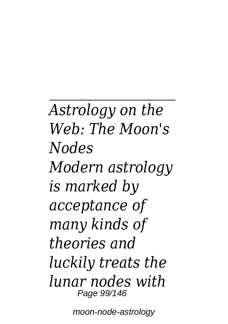*Astrology on the Web: The Moon's Nodes Modern astrology is marked by acceptance of many kinds of theories and luckily treats the lunar nodes with* Page 99/146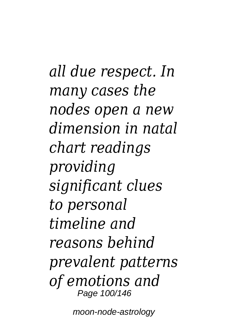*all due respect. In many cases the nodes open a new dimension in natal chart readings providing significant clues to personal timeline and reasons behind prevalent patterns of emotions and* Page 100/146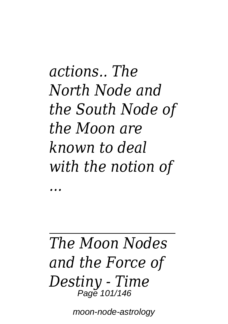*actions.. The North Node and the South Node of the Moon are known to deal with the notion of*

#### *The Moon Nodes and the Force of Destiny - Time* Page 101/146

*...*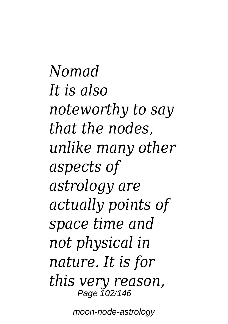*Nomad It is also noteworthy to say that the nodes, unlike many other aspects of astrology are actually points of space time and not physical in nature. It is for this very reason,* Page 102/146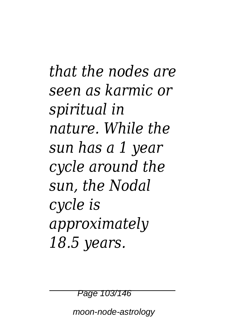*that the nodes are seen as karmic or spiritual in nature. While the sun has a 1 year cycle around the sun, the Nodal cycle is approximately 18.5 years.*

Page 103/146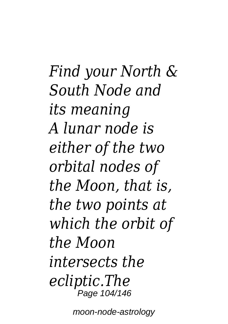*Find your North & South Node and its meaning A lunar node is either of the two orbital nodes of the Moon, that is, the two points at which the orbit of the Moon intersects the ecliptic.The* Page 104/146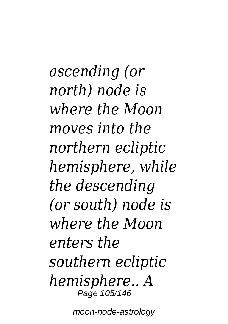*ascending (or north) node is where the Moon moves into the northern ecliptic hemisphere, while the descending (or south) node is where the Moon enters the southern ecliptic hemisphere.. A* Page 105/146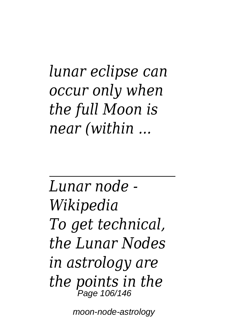*lunar eclipse can occur only when the full Moon is near (within ...*

*Lunar node - Wikipedia To get technical, the Lunar Nodes in astrology are the points in the* Page 106/146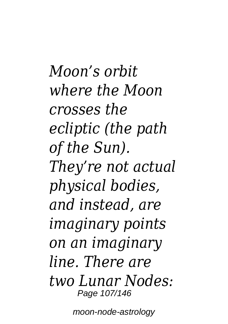*Moon's orbit where the Moon crosses the ecliptic (the path of the Sun). They're not actual physical bodies, and instead, are imaginary points on an imaginary line. There are two Lunar Nodes:* Page 107/146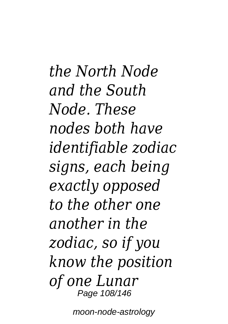*the North Node and the South Node. These nodes both have identifiable zodiac signs, each being exactly opposed to the other one another in the zodiac, so if you know the position of one Lunar* Page 108/146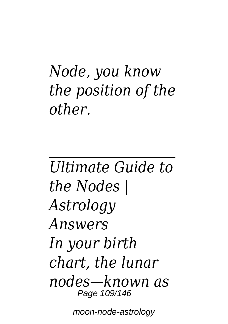## *Node, you know the position of the other.*

*Ultimate Guide to the Nodes | Astrology Answers In your birth chart, the lunar nodes—known as* Page 109/146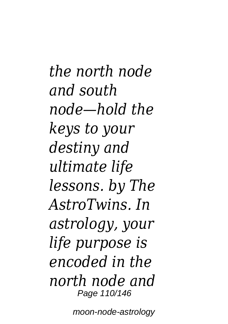*the north node and south node—hold the keys to your destiny and ultimate life lessons. by The AstroTwins. In astrology, your life purpose is encoded in the north node and* Page 110/146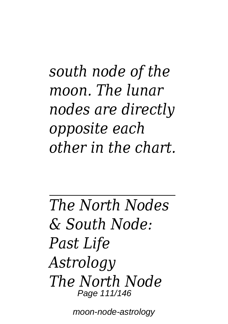## *south node of the moon. The lunar nodes are directly opposite each other in the chart.*

*The North Nodes & South Node: Past Life Astrology The North Node* Page 111/146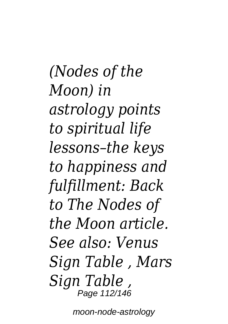*(Nodes of the Moon) in astrology points to spiritual life lessons–the keys to happiness and fulfillment: Back to The Nodes of the Moon article. See also: Venus Sign Table , Mars Sign Table ,* Page 112/146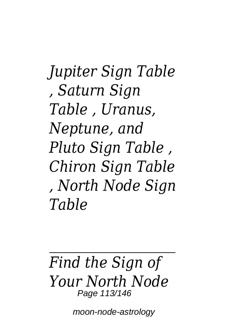*Jupiter Sign Table , Saturn Sign Table , Uranus, Neptune, and Pluto Sign Table , Chiron Sign Table , North Node Sign Table*

#### *Find the Sign of Your North Node* Page 113/146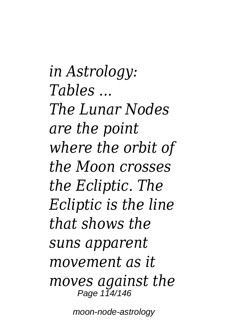*in Astrology: Tables ... The Lunar Nodes are the point where the orbit of the Moon crosses the Ecliptic. The Ecliptic is the line that shows the suns apparent movement as it moves against the* Page 114/146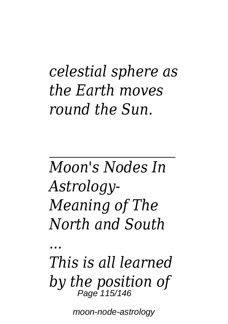## *celestial sphere as the Earth moves round the Sun.*

*Moon's Nodes In Astrology-Meaning of The North and South*

*...*

*This is all learned by the position of* Page 115/146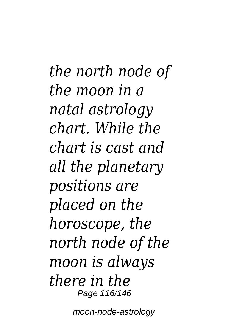*the north node of the moon in a natal astrology chart. While the chart is cast and all the planetary positions are placed on the horoscope, the north node of the moon is always there in the* Page 116/146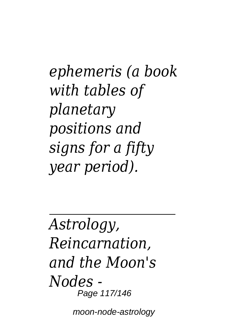*ephemeris (a book with tables of planetary positions and signs for a fifty year period).*

*Astrology, Reincarnation, and the Moon's Nodes -* Page 117/146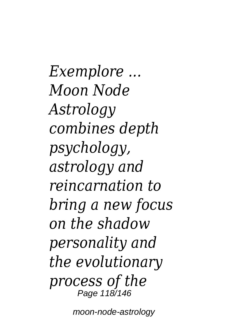*Exemplore ... Moon Node Astrology combines depth psychology, astrology and reincarnation to bring a new focus on the shadow personality and the evolutionary process of the* Page 118/146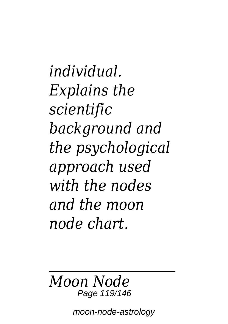*individual. Explains the scientific background and the psychological approach used with the nodes and the moon node chart.*

#### *Moon Node* Page 119/146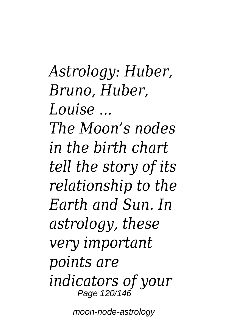*Astrology: Huber, Bruno, Huber, Louise ...*

*The Moon's nodes in the birth chart tell the story of its relationship to the Earth and Sun. In astrology, these very important points are indicators of your* Page 120/146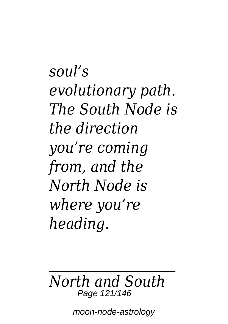*soul's evolutionary path. The South Node is the direction you're coming from, and the North Node is where you're heading.*

#### *North and South* Page 121/146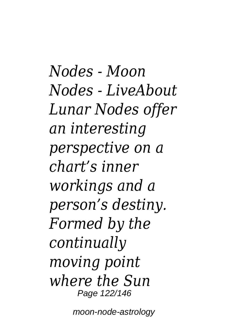*Nodes - Moon Nodes - LiveAbout Lunar Nodes offer an interesting perspective on a chart's inner workings and a person's destiny. Formed by the continually moving point where the Sun* Page 122/146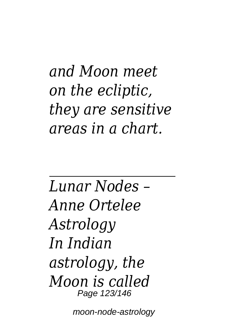*and Moon meet on the ecliptic, they are sensitive areas in a chart.*

*Lunar Nodes – Anne Ortelee Astrology In Indian astrology, the Moon is called* Page 123/146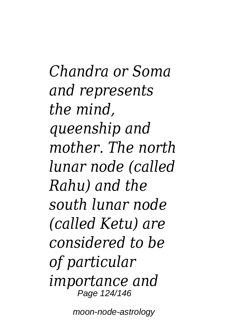*Chandra or Soma and represents the mind, queenship and mother. The north lunar node (called Rahu) and the south lunar node (called Ketu) are considered to be of particular importance and* Page 124/146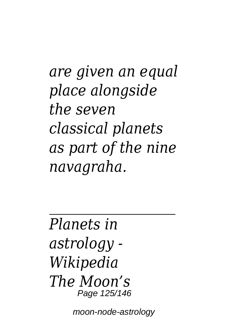*are given an equal place alongside the seven classical planets as part of the nine navagraha.*

*Planets in astrology - Wikipedia The Moon's* Page 125/146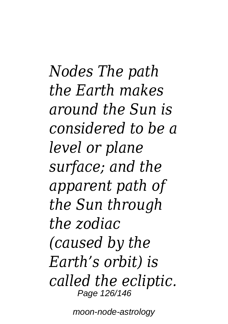*Nodes The path the Earth makes around the Sun is considered to be a level or plane surface; and the apparent path of the Sun through the zodiac (caused by the Earth's orbit) is called the ecliptic.* Page 126/146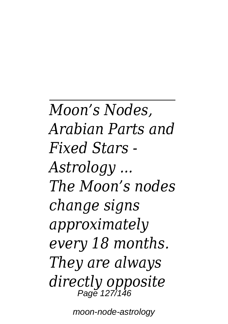*Moon's Nodes, Arabian Parts and Fixed Stars - Astrology ... The Moon's nodes change signs approximately every 18 months. They are always directly opposite* Page 127/146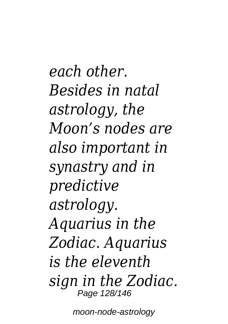*each other. Besides in natal astrology, the Moon's nodes are also important in synastry and in predictive astrology. Aquarius in the Zodiac. Aquarius is the eleventh sign in the Zodiac.* Page 128/146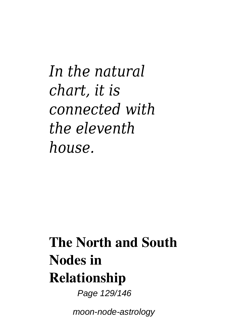*In the natural chart, it is connected with the eleventh house.*

## **The North and South Nodes in Relationship**

Page 129/146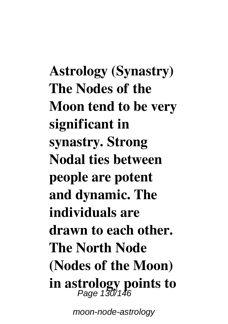**Astrology (Synastry) The Nodes of the Moon tend to be very significant in synastry. Strong Nodal ties between people are potent and dynamic. The individuals are drawn to each other. The North Node (Nodes of the Moon) in astrology points to** Page 130/146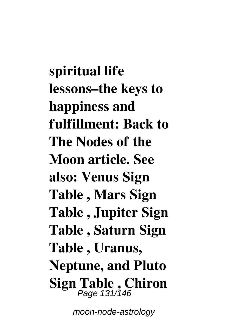**spiritual life lessons–the keys to happiness and fulfillment: Back to The Nodes of the Moon article. See also: Venus Sign Table , Mars Sign Table , Jupiter Sign Table , Saturn Sign Table , Uranus, Neptune, and Pluto Sign Table , Chiron** Page 131/146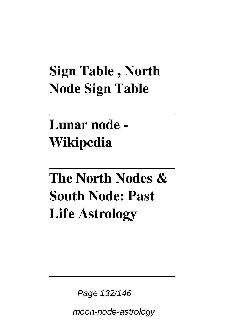### **Sign Table , North Node Sign Table**

## **Lunar node - Wikipedia**

## **The North Nodes & South Node: Past Life Astrology**

Page 132/146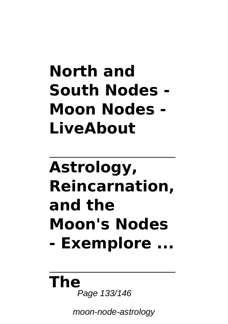# **North and South Nodes - Moon Nodes - LiveAbout**

# **Astrology, Reincarnation, and the Moon's Nodes - Exemplore ...**

#### **The** Page 133/146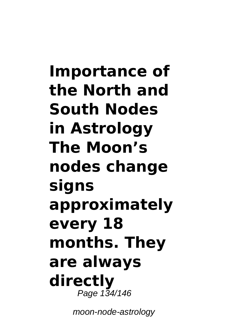**Importance of the North and South Nodes in Astrology The Moon's nodes change signs approximately every 18 months. They are always directly** Page 134/146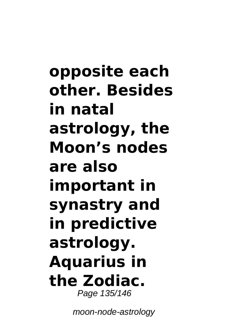**opposite each other. Besides in natal astrology, the Moon's nodes are also important in synastry and in predictive astrology. Aquarius in the Zodiac.** Page 135/146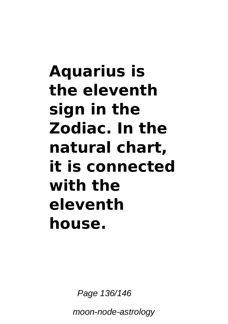# **Aquarius is the eleventh sign in the Zodiac. In the natural chart, it is connected with the eleventh house.**

Page 136/146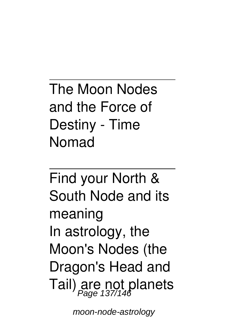The Moon Nodes and the Force of Destiny - Time Nomad

Find your North & South Node and its meaning In astrology, the Moon's Nodes (the Dragon's Head and Tail) are not planets Page 137/146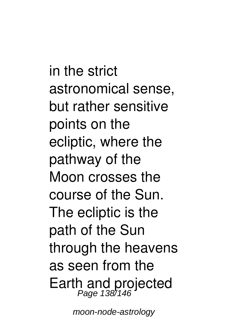in the strict astronomical sense, but rather sensitive points on the ecliptic, where the pathway of the Moon crosses the course of the Sun. The ecliptic is the path of the Sun through the heavens as seen from the Earth and projected Page 138/146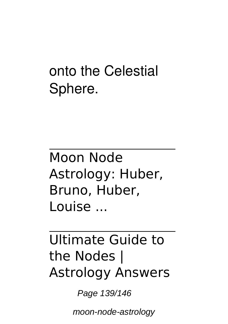### onto the Celestial Sphere.

Moon Node Astrology: Huber, Bruno, Huber, Louise ...

### Ultimate Guide to the Nodes | Astrology Answers

Page 139/146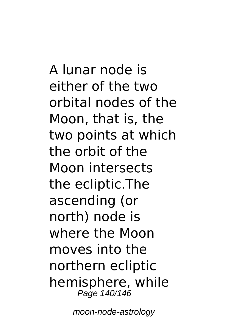A lunar node is either of the two orbital nodes of the Moon, that is, the two points at which the orbit of the Moon intersects the ecliptic.The ascending (or north) node is where the Moon moves into the northern ecliptic hemisphere, while Page 140/146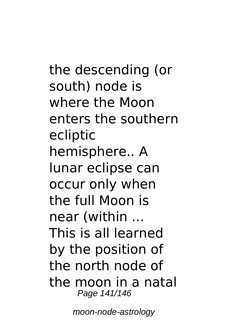the descending (or south) node is where the Moon enters the southern ecliptic hemisphere.. A lunar eclipse can occur only when the full Moon is near (within ... This is all learned by the position of the north node of the moon in a natal Page 141/146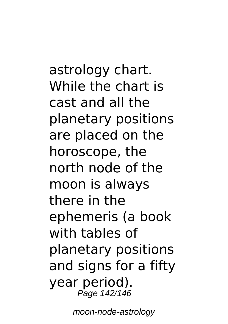astrology chart. While the chart is cast and all the planetary positions are placed on the horoscope, the north node of the moon is always there in the ephemeris (a book with tables of planetary positions and signs for a fifty year period). Page 142/146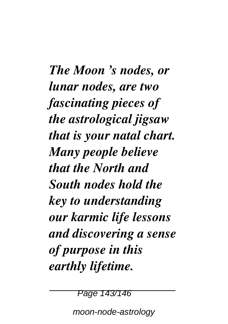*The Moon 's nodes, or lunar nodes, are two fascinating pieces of the astrological jigsaw that is your natal chart. Many people believe that the North and South nodes hold the key to understanding our karmic life lessons and discovering a sense of purpose in this earthly lifetime.*

Page 143/146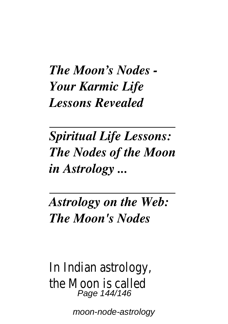#### *The Moon's Nodes - Your Karmic Life Lessons Revealed*

*Spiritual Life Lessons: The Nodes of the Moon in Astrology ...*

*Astrology on the Web: The Moon's Nodes*

In Indian astrology, the Moon is called Page 144/146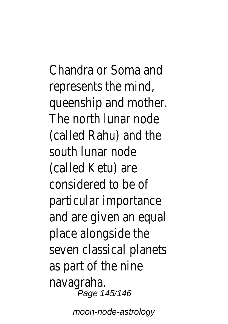Chandra or Soma and represents the mind, queenship and mother. The north lunar node (called Rahu) and the south lunar node (called Ketu) are considered to be of particular importance and are given an equal place alongside the seven classical planets as part of the nine navagraha. .<br>Page 145/146

moon-node-astrology